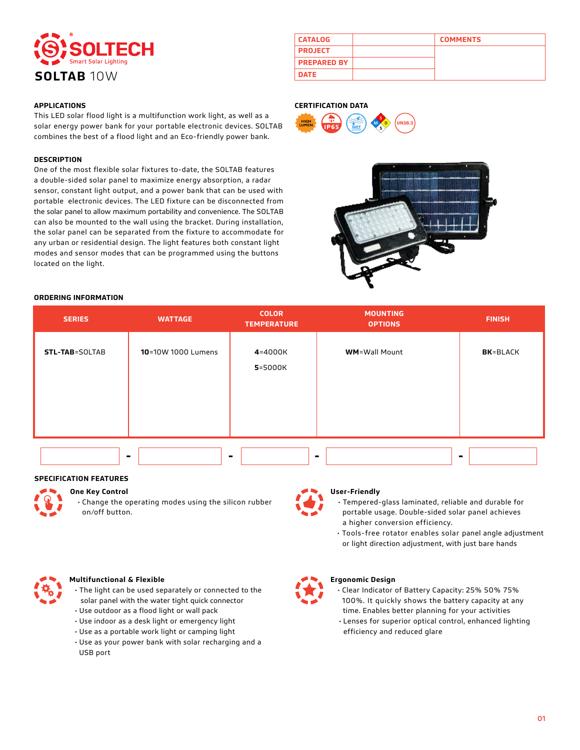

## **APPLICATIONS**

This LED solar flood light is a multifunction work light, as well as a solar energy power bank for your portable electronic devices. SOLTAB combines the best of a flood light and an Eco-friendly power bank.

### **DESCRIPTION**

One of the most flexible solar fixtures to-date, the SOLTAB features a double-sided solar panel to maximize energy absorption, a radar sensor, constant light output, and a power bank that can be used with portable electronic devices. The LED fixture can be disconnected from the solar panel to allow maximum portability and convenience. The SOLTAB can also be mounted to the wall using the bracket. During installation, the solar panel can be separated from the fixture to accommodate for any urban or residential design. The light features both constant light modes and sensor modes that can be programmed using the buttons located on the light.

| <b>CATALOG</b>     | <b>COMMENTS</b> |
|--------------------|-----------------|
| <b>PROJECT</b>     |                 |
| <b>PREPARED BY</b> |                 |
| <b>DATE</b>        |                 |

### **CERTIFICATION DATA**





### **ORDERING INFORMATION**

| <b>SERIES</b>         | <b>WATTAGE</b>     | <b>COLOR</b><br><b>TEMPERATURE</b> | <b>MOUNTING</b><br><b>OPTIONS</b> | <b>FINISH</b>    |
|-----------------------|--------------------|------------------------------------|-----------------------------------|------------------|
| <b>STL-TAB=SOLTAB</b> | 10=10W 1000 Lumens | 4=4000K<br>5=5000K                 | <b>WM</b> =Wall Mount             | <b>BK</b> =BLACK |
|                       | $\blacksquare$     |                                    |                                   |                  |

### **SPECIFICATION FEATURES**



# **One Key Control**

• Change the operating modes using the silicon rubber on/off button.

### **User-Friendly**

- Tempered-glass laminated, reliable and durable for portable usage. Double-sided solar panel achieves a higher conversion efficiency.
- Tools-free rotator enables solar panel angle adjustment
- or light direction adjustment, with just bare hands



### **Multifunctional & Flexible**

- The light can be used separately or connected to the solar panel with the water tight quick connector
- Use outdoor as a flood light or wall pack
- Use indoor as a desk light or emergency light
- Use as a portable work light or camping light
- Use as your power bank with solar recharging and a USB port



## **Ergonomic Design**

 • Clear Indicator of Battery Capacity: 25% 50% 75% 100%. It quickly shows the battery capacity at any time. Enables better planning for your activities • Lenses for superior optical control, enhanced lighting efficiency and reduced glare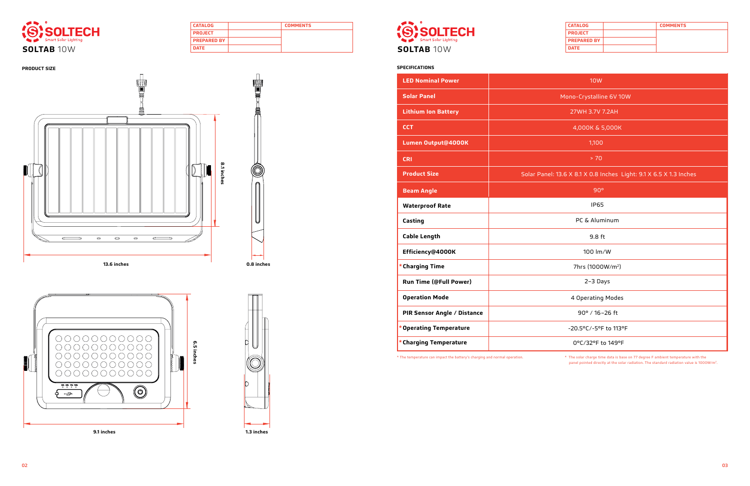| <b>CATALOG</b>     | <b>COMMENTS</b> |
|--------------------|-----------------|
| <b>PROJECT</b>     |                 |
| <b>PREPARED BY</b> |                 |
| <b>DATE</b>        |                 |



| <b>CATALOG</b>     | <b>COMMENTS</b> |
|--------------------|-----------------|
| <b>PROJECT</b>     |                 |
| <b>PREPARED BY</b> |                 |
| <b>DATE</b>        |                 |



| <b>LED Nominal Power</b>      | 10W                                                                |  |
|-------------------------------|--------------------------------------------------------------------|--|
| <b>Solar Panel</b>            | Mono-Crystalline 6V 10W                                            |  |
| <b>Lithium Ion Battery</b>    | 27WH 3.7V 7.2AH                                                    |  |
| <b>CCT</b>                    | 4,000K & 5,000K                                                    |  |
| Lumen Output@4000K            | 1,100                                                              |  |
| <b>CRI</b>                    | > 70                                                               |  |
| <b>Product Size</b>           | Solar Panel: 13.6 X 8.1 X 0.8 Inches Light: 9.1 X 6.5 X 1.3 Inches |  |
| <b>Beam Angle</b>             | 90°                                                                |  |
| <b>Waterproof Rate</b>        | <b>IP65</b>                                                        |  |
| Casting                       | PC & Aluminum                                                      |  |
| <b>Cable Length</b>           | 9.8 ft                                                             |  |
| Efficiency@4000K              | 100 lm/W                                                           |  |
| <b>Charging Time</b>          | 7hrs (1000W/m <sup>2</sup> )                                       |  |
| <b>Run Time (@Full Power)</b> | 2-3 Days                                                           |  |
| <b>Operation Mode</b>         | 4 Operating Modes                                                  |  |
| PIR Sensor Angle / Distance   | 90° / 16-26 ft                                                     |  |
| * Operating Temperature       | -20.5°C/-5°F to 113°F                                              |  |
| * Charging Temperature        | 0°C/32°F to 149°F                                                  |  |



\* The temperature can impact the battery's charging and normal operation. \* The solar charge time data is base on 77 degree F ambient temperature with the panel pointed directly at the solar radiation. The standard radiation value is 1000W/m2.



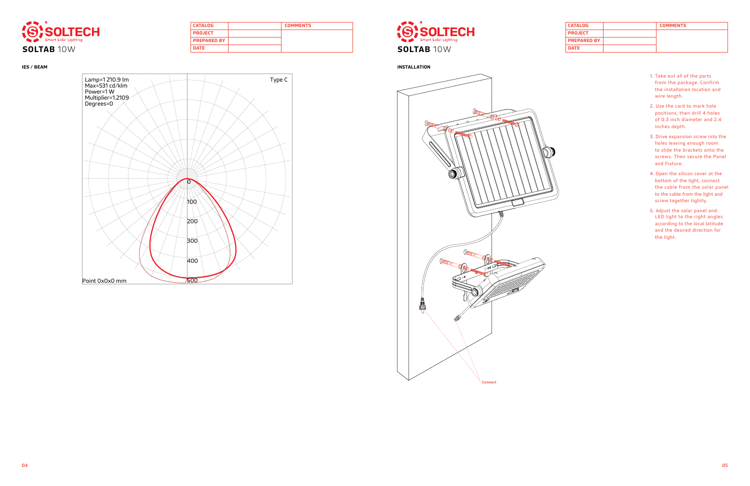| <b>CATALOG</b>     | <b>COMMENTS</b> |  |
|--------------------|-----------------|--|
| <b>PROJECT</b>     |                 |  |
| <b>PREPARED BY</b> |                 |  |
| <b>DATE</b>        |                 |  |



| <b>CATALOG</b>     | <b>COMMENTS</b> |
|--------------------|-----------------|
| <b>PROJECT</b>     |                 |
| <b>PREPARED BY</b> |                 |
| <b>DATE</b>        |                 |





- 1. Take out all of the parts from the package. Confirm the installation location and wire length.
- 2. Use the card to mark hole positions, then drill 4 holes of 0.3 inch diameter and 2.4 inches depth.
- 3. Drive expansion screw into the holes leaving enough room to slide the brackets onto the screws. Then secure the Panel and Fixture.
- 4. Open the silicon cover at the bottom of the light, connect the cable from the solar panel to the cable from the light and screw together tightly.
- 5. Adjust the solar panel and LED light to the right angles according to the local latitude and the desired direction for the light.



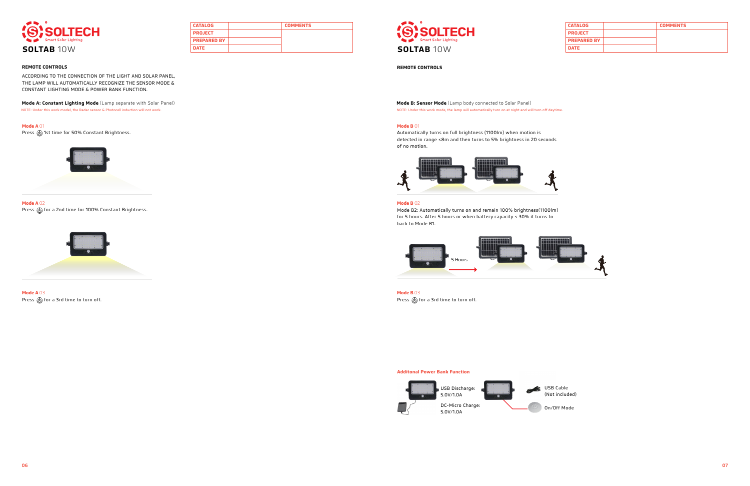| <b>CATALOG</b>     | <b>COMMENTS</b> |
|--------------------|-----------------|
| <b>PROJECT</b>     |                 |
| <b>PREPARED BY</b> |                 |
| <b>DATE</b>        |                 |



| <b>CATALOG</b>     | <b>COMMENTS</b> |
|--------------------|-----------------|
| <b>PROJECT</b>     |                 |
| <b>PREPARED BY</b> |                 |
| <b>DATE</b>        |                 |





NOTE: Under this work model, the Radar sensor & Photocell induction will not work. Note that work model to the sensor of the lamp will automatically turn on at night and will turn off daytime.

## **Mode A** 01

Press @ 1st time for 50% Constant Brightness.

### **Mode B** 01



**Mode A** 02 Press  $\circledR$  for a 2nd time for 100% Constant Brightness.

Automatically turns on full brightness (1100lm) when motion is detected in range ≤8m and then turns to 5% brightness in 20 seconds of no motion.





**Mode A** 03 Press  $\circledS$  for a 3rd time to turn off.

**Mode B** 03 Press  $\circledS$  for a 3rd time to turn off.

### **Mode B** 02

Mode B2: Automatically turns on and remain 100% brightness(1100lm) for 5 hours. After 5 hours or when battery capacity < 30% it turns to back to Mode B1.

## **Additonal Power Bank Function**

## **REMOTE CONTROLS REMOTE CONTROLS**

ACCORDING TO THE CONNECTION OF THE LIGHT AND SOLAR PANEL, THE LAMP WILL AUTOMATICALLY RECOGNIZE THE SENSOR MODE & CONSTANT LIGHTING MODE & POWER BANK FUNCTION.

**Mode A: Constant Lighting Mode** (Lamp separate with Solar Panel) **Mode 2: Sensor Mode CLamp body connected to Solar Panel) Mode B: Sensor Mode (Lamp body connected to Solar Panel)** 



On/Off Mode

(Not included)